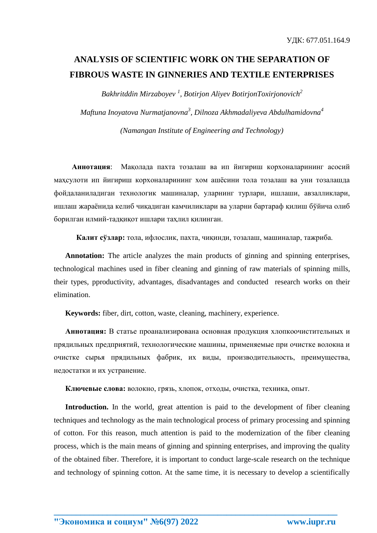## **ANALYSIS OF SCIENTIFIC WORK ON THE SEPARATION OF FIBROUS WASTE IN GINNERIES AND TEXTILE ENTERPRISES**

*Bakhritddin Mirzaboyev <sup>1</sup> , Botirjon Aliyev BotirjonToxirjonovich<sup>2</sup> Maftuna Inoyatova Nurmatjanovna<sup>3</sup> , Dilnoza Akhmadaliyeva Abdulhamidovna<sup>4</sup>*

*(Namangan Institute of Engineering and Technology)*

**Аннотация**: Мақолада пахта тозалаш ва ип йигириш корхоналарининг асосий маҳсулоти ип йигириш корхоналарининг хом ашёсини тола тозалаш ва уни тозалашда фойдаланиладиган технологик машиналар, уларнинг турлари, ишлаши, авзалликлари, ишлаш жараёнида келиб чиқадиган камчиликлари ва уларни бартараф қилиш бўйича олиб борилган илмий-тадқиқот ишлари таҳлил қилинган.

**Калит сўзлар:** тола, ифлослик, пахта, чиқинди, тозалаш, машиналар, тажриба.

**Annotation:** The article analyzes the main products of ginning and spinning enterprises, technological machines used in fiber cleaning and ginning of raw materials of spinning mills, their types, pproductivity, advantages, disadvantages and conducted research works on their elimination.

**Keywords:** fiber, dirt, cotton, waste, cleaning, machinery, experience.

**Аннотация:** В статье проанализирована основная продукция хлопкоочистительных и прядильных предприятий, технологические машины, применяемые при очистке волокна и очистке сырья прядильных фабрик, их виды, производительность, преимущества, недостатки и их устранение.

**Ключевые слова:** волокно, грязь, хлопок, отходы, очистка, техника, опыт.

**Introduction.** In the world, great attention is paid to the development of fiber cleaning techniques and technology as the main technological process of primary processing and spinning of cotton. For this reason, much attention is paid to the modernization of the fiber cleaning process, which is the main means of ginning and spinning enterprises, and improving the quality of the obtained fiber. Therefore, it is important to conduct large-scale research on the technique and technology of spinning cotton. At the same time, it is necessary to develop a scientifically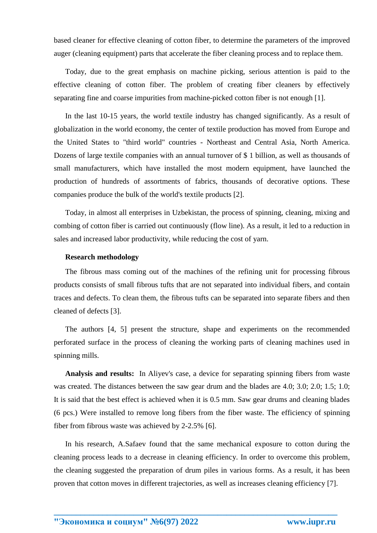based cleaner for effective cleaning of cotton fiber, to determine the parameters of the improved auger (cleaning equipment) parts that accelerate the fiber cleaning process and to replace them.

Today, due to the great emphasis on machine picking, serious attention is paid to the effective cleaning of cotton fiber. The problem of creating fiber cleaners by effectively separating fine and coarse impurities from machine-picked cotton fiber is not enough [1].

In the last 10-15 years, the world textile industry has changed significantly. As a result of globalization in the world economy, the center of textile production has moved from Europe and the United States to "third world" countries - Northeast and Central Asia, North America. Dozens of large textile companies with an annual turnover of \$ 1 billion, as well as thousands of small manufacturers, which have installed the most modern equipment, have launched the production of hundreds of assortments of fabrics, thousands of decorative options. These companies produce the bulk of the world's textile products [2].

Today, in almost all enterprises in Uzbekistan, the process of spinning, cleaning, mixing and combing of cotton fiber is carried out continuously (flow line). As a result, it led to a reduction in sales and increased labor productivity, while reducing the cost of yarn.

#### **Research methodology**

The fibrous mass coming out of the machines of the refining unit for processing fibrous products consists of small fibrous tufts that are not separated into individual fibers, and contain traces and defects. To clean them, the fibrous tufts can be separated into separate fibers and then cleaned of defects [3].

The authors [4, 5] present the structure, shape and experiments on the recommended perforated surface in the process of cleaning the working parts of cleaning machines used in spinning mills.

**Analysis and results:** In Aliyev's case, a device for separating spinning fibers from waste was created. The distances between the saw gear drum and the blades are 4.0; 3.0; 2.0; 1.5; 1.0; It is said that the best effect is achieved when it is 0.5 mm. Saw gear drums and cleaning blades (6 pcs.) Were installed to remove long fibers from the fiber waste. The efficiency of spinning fiber from fibrous waste was achieved by 2-2.5% [6].

In his research, A.Safaev found that the same mechanical exposure to cotton during the cleaning process leads to a decrease in cleaning efficiency. In order to overcome this problem, the cleaning suggested the preparation of drum piles in various forms. As a result, it has been proven that cotton moves in different trajectories, as well as increases cleaning efficiency [7].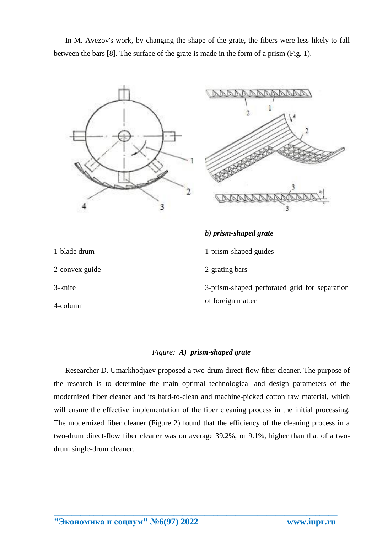In M. Avezov's work, by changing the shape of the grate, the fibers were less likely to fall between the bars [8]. The surface of the grate is made in the form of a prism (Fig. 1).





# *b) prism-shaped grate*

2-grating bars

1-prism-shaped guides

1-blade drum

2-convex guide

3-knife

4-column

3-prism-shaped perforated grid for separation of foreign matter

### *Figure: A) prism-shaped grate*

Researcher D. Umarkhodjaev proposed a two-drum direct-flow fiber cleaner. The purpose of the research is to determine the main optimal technological and design parameters of the modernized fiber cleaner and its hard-to-clean and machine-picked cotton raw material, which will ensure the effective implementation of the fiber cleaning process in the initial processing. The modernized fiber cleaner (Figure 2) found that the efficiency of the cleaning process in a two-drum direct-flow fiber cleaner was on average 39.2%, or 9.1%, higher than that of a twodrum single-drum cleaner.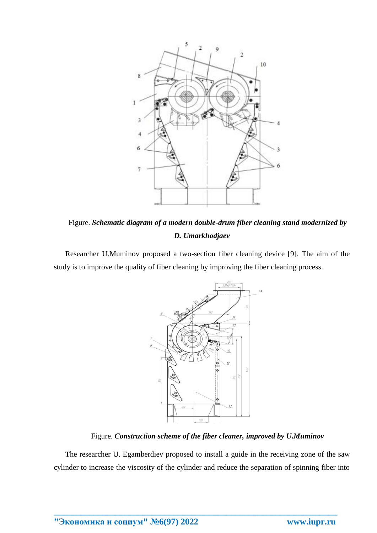

Figure. *Schematic diagram of a modern double-drum fiber cleaning stand modernized by D. Umarkhodjaev*

Researcher U.Muminov proposed a two-section fiber cleaning device [9]. The aim of the study is to improve the quality of fiber cleaning by improving the fiber cleaning process.



Figure. *Construction scheme of the fiber cleaner, improved by U.Muminov*

The researcher U. Egamberdiev proposed to install a guide in the receiving zone of the saw cylinder to increase the viscosity of the cylinder and reduce the separation of spinning fiber into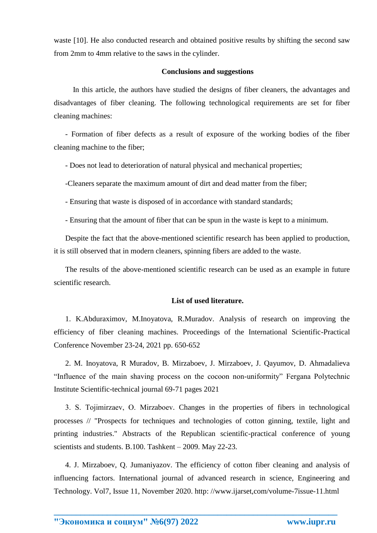waste [10]. He also conducted research and obtained positive results by shifting the second saw from 2mm to 4mm relative to the saws in the cylinder.

#### **Conclusions and suggestions**

 In this article, the authors have studied the designs of fiber cleaners, the advantages and disadvantages of fiber cleaning. The following technological requirements are set for fiber cleaning machines:

- Formation of fiber defects as a result of exposure of the working bodies of the fiber cleaning machine to the fiber;

- Does not lead to deterioration of natural physical and mechanical properties;

-Cleaners separate the maximum amount of dirt and dead matter from the fiber;

- Ensuring that waste is disposed of in accordance with standard standards;

- Ensuring that the amount of fiber that can be spun in the waste is kept to a minimum.

Despite the fact that the above-mentioned scientific research has been applied to production, it is still observed that in modern cleaners, spinning fibers are added to the waste.

The results of the above-mentioned scientific research can be used as an example in future scientific research.

#### **List of used literature.**

1. K.Abduraximov, M.Inoyatova, R.Muradov. Analysis of research on improving the efficiency of fiber cleaning machines. Proceedings of the International Scientific-Practical Conference November 23-24, 2021 pp. 650-652

2. M. Inoyatova, R Muradov, B. Mirzaboev, J. Mirzaboev, J. Qayumov, D. Ahmadalieva "Influence of the main shaving process on the cocoon non-uniformity" Fergana Polytechnic Institute Scientific-technical journal 69-71 pages 2021

3. S. Tojimirzaev, О. Mirzaboev. Changes in the properties of fibers in technological processes // "Prospects for techniques and technologies of cotton ginning, textile, light and printing industries." Abstracts of the Republican scientific-practical conference of young scientists and students. B.100. Tashkent – 2009. May 22-23.

4. J. Mirzaboev, Q. Jumaniyazov. The efficiency of cotton fiber cleaning and analysis of influencing factors. International journal of advanced research in science, Engineering and Technology. Vol7, Issue 11, November 2020. http: //www.ijarset,com/volume-7issue-11.html